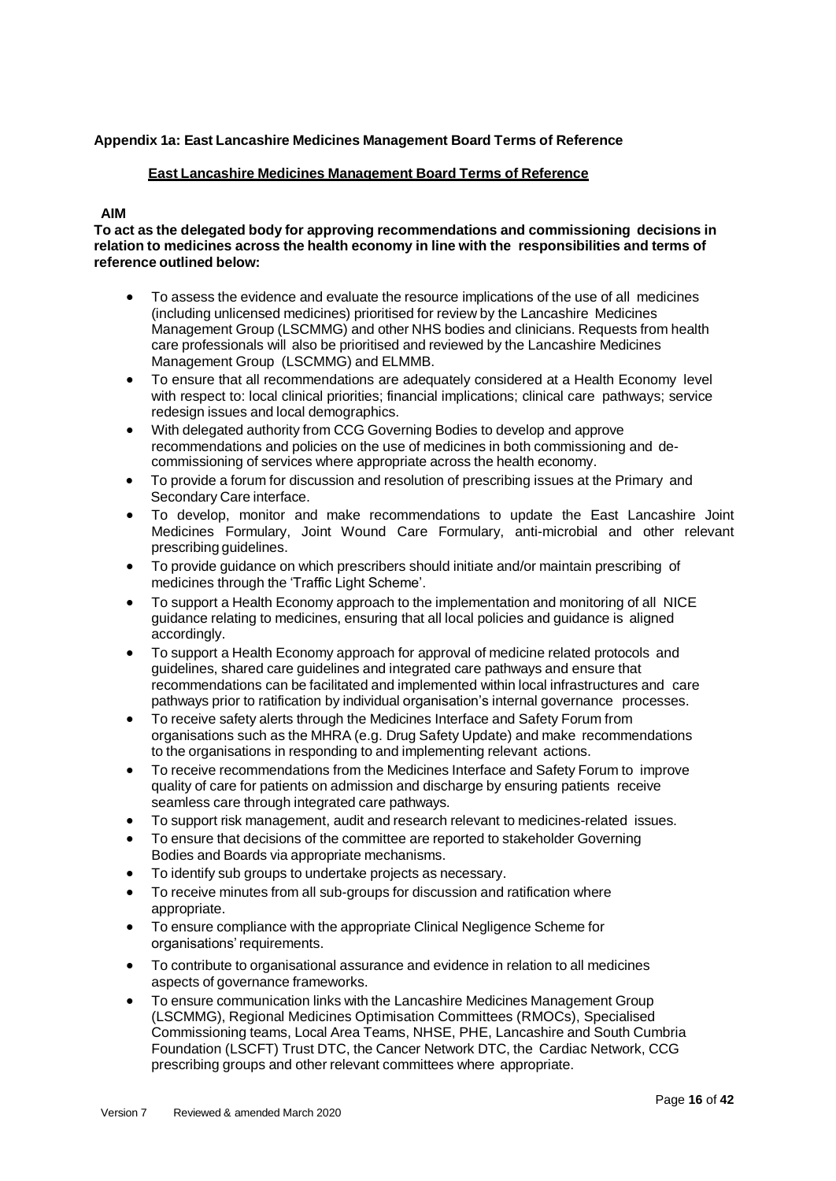# **Appendix 1a: East Lancashire Medicines Management Board Terms of Reference**

#### **East Lancashire Medicines Management Board Terms of Reference**

# **AIM**

**To act as the delegated body for approving recommendations and commissioning decisions in relation to medicines across the health economy in line with the responsibilities and terms of reference outlined below:**

- To assess the evidence and evaluate the resource implications of the use of all medicines (including unlicensed medicines) prioritised for review by the Lancashire Medicines Management Group (LSCMMG) and other NHS bodies and clinicians. Requests from health care professionals will also be prioritised and reviewed by the Lancashire Medicines Management Group (LSCMMG) and ELMMB.
- To ensure that all recommendations are adequately considered at a Health Economy level with respect to: local clinical priorities; financial implications; clinical care pathways; service redesign issues and local demographics.
- With delegated authority from CCG Governing Bodies to develop and approve recommendations and policies on the use of medicines in both commissioning and decommissioning of services where appropriate across the health economy.
- To provide a forum for discussion and resolution of prescribing issues at the Primary and Secondary Care interface.
- To develop, monitor and make recommendations to update the East Lancashire Joint Medicines Formulary, Joint Wound Care Formulary, anti-microbial and other relevant prescribing guidelines.
- To provide guidance on which prescribers should initiate and/or maintain prescribing of medicines through the 'Traffic Light Scheme'.
- To support a Health Economy approach to the implementation and monitoring of all NICE guidance relating to medicines, ensuring that all local policies and guidance is aligned accordingly.
- To support a Health Economy approach for approval of medicine related protocols and guidelines, shared care guidelines and integrated care pathways and ensure that recommendations can befacilitatedandimplemented withinlocal infrastructures and care pathways prior to ratification by individual organisation's internal governance processes.
- To receive safety alerts through the Medicines Interface and Safety Forum from organisations such as the MHRA (e.g. Drug Safety Update) and make recommendations to the organisations in responding to and implementing relevant actions.
- To receive recommendations from the Medicines Interface and Safety Forum to improve quality of care for patients on admission and discharge by ensuring patients receive seamless care through integrated care pathways.
- To support risk management, audit andresearch relevant to medicines-related issues.
- To ensure that decisions of the committee are reported to stakeholder Governing Bodies and Boards via appropriate mechanisms.
- To identify sub groups to undertake projects as necessary.
- To receive minutes from all sub-groups for discussion and ratification where appropriate.
- To ensure compliance with the appropriate Clinical Negligence Scheme for organisations'requirements.
- To contribute to organisational assurance and evidence in relation to all medicines aspects of governance frameworks.
- To ensure communication links with the Lancashire Medicines Management Group (LSCMMG), Regional Medicines Optimisation Committees (RMOCs), Specialised Commissioning teams, Local Area Teams, NHSE, PHE, Lancashire and South Cumbria Foundation (LSCFT) Trust DTC, the Cancer Network DTC, the Cardiac Network, CCG prescribing groups and other relevant committees where appropriate.